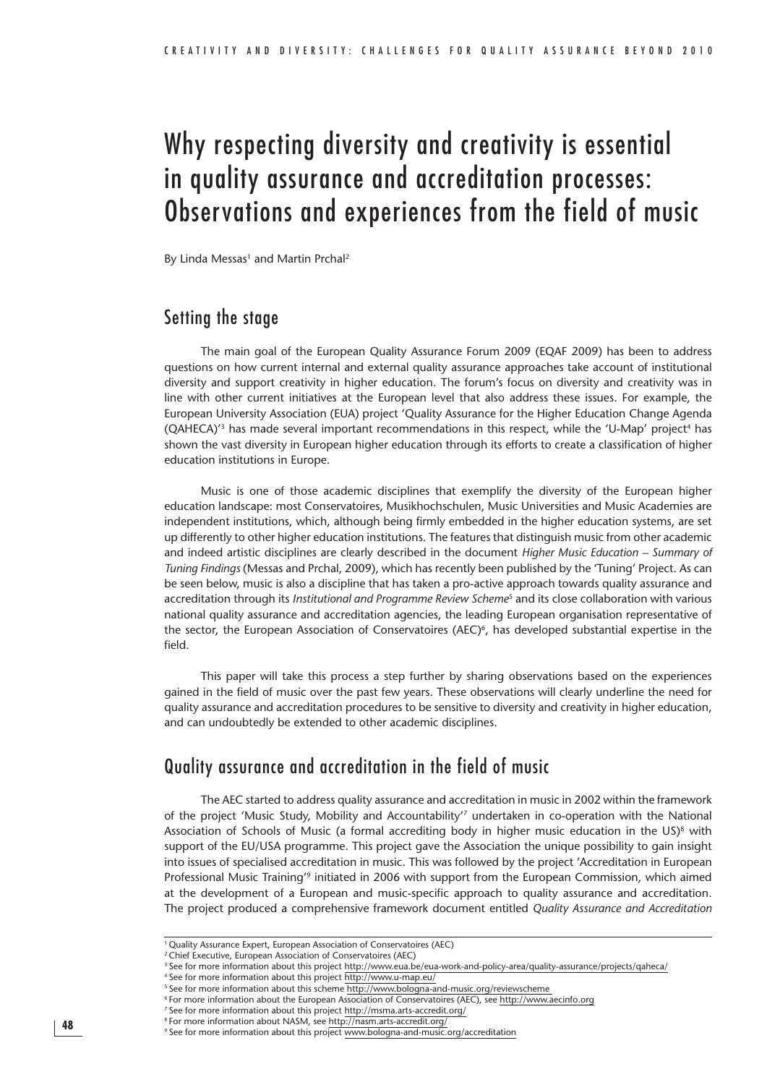# Why respecting diversity and creativity is essential in quality assurance and accreditation processes: Observations and experiences from the field of music

By Linda Messas<sup>1</sup> and Martin Prchal<sup>2</sup>

## Setting the stage

The main goal of the European Quality Assurance Forum 2009 (EQAF 2009) has been to address questions on how current internal and external quality assurance approaches take account of institutional diversity and support creativity in higher education. The forum's focus on diversity and creativity was in line with other current initiatives at the European level that also address these issues. For example, the European University Association (EUA) project 'Quality Assurance for the Higher Education Change Agenda  $(QAHECA)<sup>3</sup>$  has made several important recommendations in this respect, while the 'U-Map' project<sup>4</sup> has shown the vast diversity in European higher education through its efforts to create a classification of higher education institutions in Europe.

Music is one of those academic disciplines that exemplify the diversity of the European higher education landscape: most Conservatoires, Musikhochschulen, Music Universities and Music Academies are independent institutions, which, although being firmly embedded in the higher education systems, are set up differently to other higher education institutions. The features that distinguish music from other academic and indeed artistic disciplines are clearly described in the document *Higher Music Education – Summary of Tuning Findings* (Messas and Prchal, 2009), which has recently been published by the 'Tuning' Project. As can be seen below, music is also a discipline that has taken a pro-active approach towards quality assurance and accreditation through its *Institutional and Programme Review Scheme*5 and its close collaboration with various national quality assurance and accreditation agencies, the leading European organisation representative of the sector, the European Association of Conservatoires (AEC)<sup>6</sup>, has developed substantial expertise in the field.

This paper will take this process a step further by sharing observations based on the experiences gained in the field of music over the past few years. These observations will clearly underline the need for quality assurance and accreditation procedures to be sensitive to diversity and creativity in higher education, and can undoubtedly be extended to other academic disciplines.

# Quality assurance and accreditation in the field of music

The AEC started to address quality assurance and accreditation in music in 2002 within the framework of the project 'Music Study, Mobility and Accountability'7 undertaken in co-operation with the National Association of Schools of Music (a formal accrediting body in higher music education in the US)<sup>8</sup> with support of the EU/USA programme. This project gave the Association the unique possibility to gain insight into issues of specialised accreditation in music. This was followed by the project 'Accreditation in European Professional Music Training'9 initiated in 2006 with support from the European Commission, which aimed at the development of a European and music-specific approach to quality assurance and accreditation. The project produced a comprehensive framework document entitled *Quality Assurance and Accreditation* 

<sup>1</sup> Quality Assurance Expert, European Association of Conservatoires (AEC)

<sup>2</sup> Chief Executive, European Association of Conservatoires (AEC)

<sup>&</sup>lt;sup>3</sup> See for more information about this project http://www.eua.be/eua-work-and-policy-area/quality-assurance/projects/qaheca/

<sup>&</sup>lt;sup>4</sup> See for more information about this project http://www.u-map.eu/<br><sup>5</sup> See for more information about this scheme http://www.bologna-and-music.org/reviewscheme

<sup>&</sup>lt;sup>6</sup> For more information about the European Association of Conservatoires (AEC), see http://www.aecinfo.org

<sup>7</sup> See for more information about this project http://msma.arts-accredit.org/

<sup>&</sup>lt;sup>8</sup> For more information about NASM, see http://nasm.arts-accredit.org,

<sup>&</sup>lt;sup>9</sup> See for more information about this project www.bologna-and-music.org/accreditation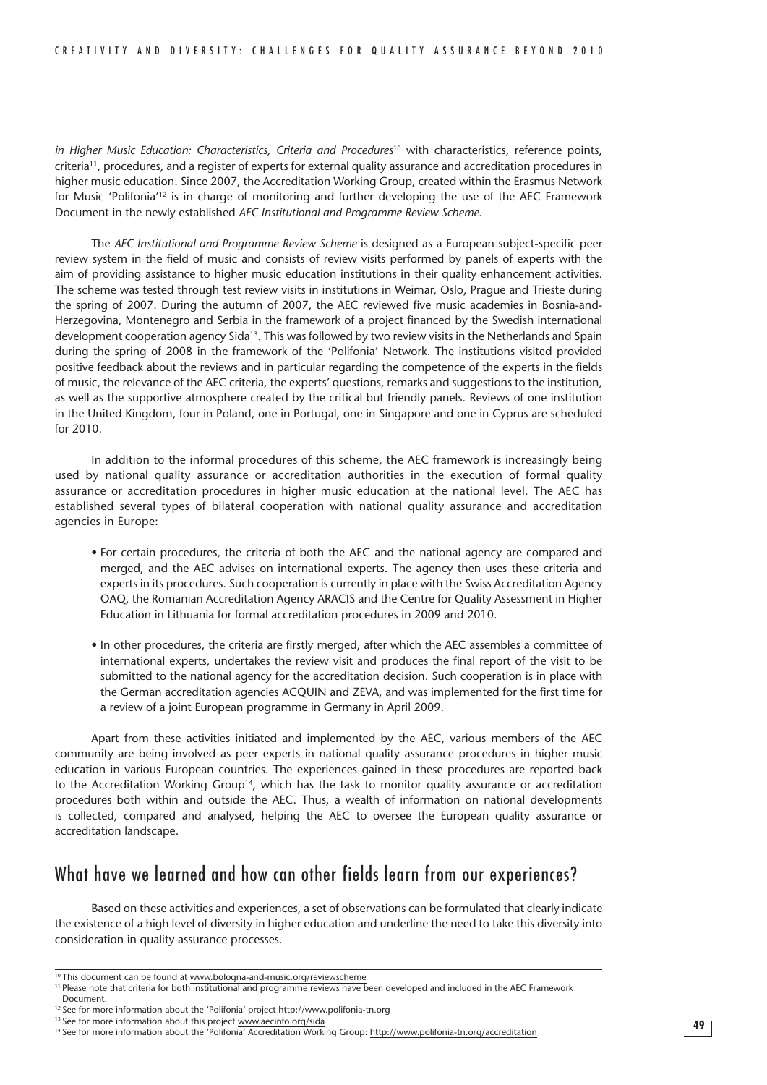*in Higher Music Education: Characteristics, Criteria and Procedures*10 with characteristics, reference points, criteria11, procedures, and a register of experts for external quality assurance and accreditation procedures in higher music education. Since 2007, the Accreditation Working Group, created within the Erasmus Network for Music 'Polifonia'12 is in charge of monitoring and further developing the use of the AEC Framework Document in the newly established *AEC Institutional and Programme Review Scheme.*

The *AEC Institutional and Programme Review Scheme* is designed as a European subject-specific peer review system in the field of music and consists of review visits performed by panels of experts with the aim of providing assistance to higher music education institutions in their quality enhancement activities. The scheme was tested through test review visits in institutions in Weimar, Oslo, Prague and Trieste during the spring of 2007. During the autumn of 2007, the AEC reviewed five music academies in Bosnia-and-Herzegovina, Montenegro and Serbia in the framework of a project financed by the Swedish international development cooperation agency Sida13. This was followed by two review visits in the Netherlands and Spain during the spring of 2008 in the framework of the 'Polifonia' Network. The institutions visited provided positive feedback about the reviews and in particular regarding the competence of the experts in the fields of music, the relevance of the AEC criteria, the experts' questions, remarks and suggestions to the institution, as well as the supportive atmosphere created by the critical but friendly panels. Reviews of one institution in the United Kingdom, four in Poland, one in Portugal, one in Singapore and one in Cyprus are scheduled for 2010.

In addition to the informal procedures of this scheme, the AEC framework is increasingly being used by national quality assurance or accreditation authorities in the execution of formal quality assurance or accreditation procedures in higher music education at the national level. The AEC has established several types of bilateral cooperation with national quality assurance and accreditation agencies in Europe:

- For certain procedures, the criteria of both the AEC and the national agency are compared and merged, and the AEC advises on international experts. The agency then uses these criteria and experts in its procedures. Such cooperation is currently in place with the Swiss Accreditation Agency OAQ, the Romanian Accreditation Agency ARACIS and the Centre for Quality Assessment in Higher Education in Lithuania for formal accreditation procedures in 2009 and 2010.
- In other procedures, the criteria are firstly merged, after which the AEC assembles a committee of international experts, undertakes the review visit and produces the final report of the visit to be submitted to the national agency for the accreditation decision. Such cooperation is in place with the German accreditation agencies ACQUIN and ZEVA, and was implemented for the first time for a review of a joint European programme in Germany in April 2009.

Apart from these activities initiated and implemented by the AEC, various members of the AEC community are being involved as peer experts in national quality assurance procedures in higher music education in various European countries. The experiences gained in these procedures are reported back to the Accreditation Working Group<sup>14</sup>, which has the task to monitor quality assurance or accreditation procedures both within and outside the AEC. Thus, a wealth of information on national developments is collected, compared and analysed, helping the AEC to oversee the European quality assurance or accreditation landscape.

## What have we learned and how can other fields learn from our experiences?

Based on these activities and experiences, a set of observations can be formulated that clearly indicate the existence of a high level of diversity in higher education and underline the need to take this diversity into consideration in quality assurance processes.

<sup>&</sup>lt;sup>10</sup> This document can be found at www.bologna-and-music.org/reviewscheme

<sup>&</sup>lt;sup>11</sup> Please note that criteria for both institutional and programme reviews have been developed and included in the AEC Framework Document.

<sup>&</sup>lt;sup>12</sup> See for more information about the 'Polifonia' project http://www.polifonia-tn.org

<sup>&</sup>lt;sup>13</sup> See for more information about this project www.aecinfo.org/sida

<sup>14</sup> See for more information about the 'Polifonia' Accreditation Working Group: http://www.polifonia-tn.org/accreditation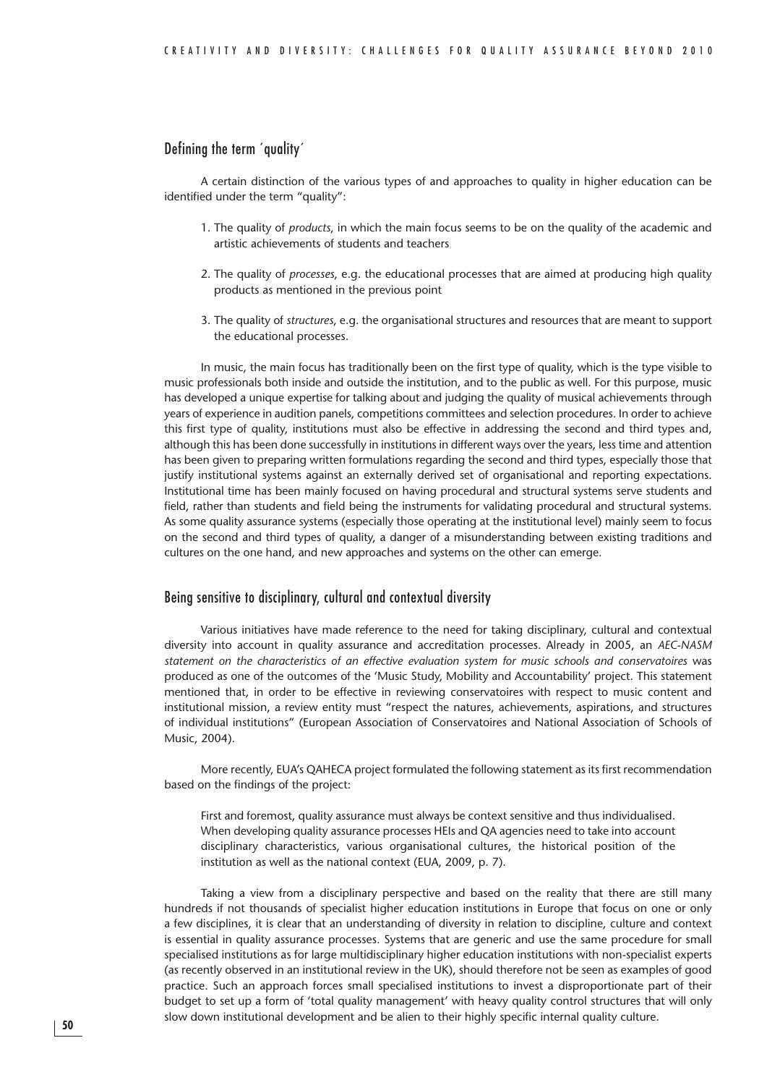#### Defining the term ´quality´

A certain distinction of the various types of and approaches to quality in higher education can be identified under the term "quality":

- 1. The quality of *products*, in which the main focus seems to be on the quality of the academic and artistic achievements of students and teachers
- 2. The quality of *processes*, e.g. the educational processes that are aimed at producing high quality products as mentioned in the previous point
- 3. The quality of *structures*, e.g. the organisational structures and resources that are meant to support the educational processes.

In music, the main focus has traditionally been on the first type of quality, which is the type visible to music professionals both inside and outside the institution, and to the public as well. For this purpose, music has developed a unique expertise for talking about and judging the quality of musical achievements through years of experience in audition panels, competitions committees and selection procedures. In order to achieve this first type of quality, institutions must also be effective in addressing the second and third types and, although this has been done successfully in institutions in different ways over the years, less time and attention has been given to preparing written formulations regarding the second and third types, especially those that justify institutional systems against an externally derived set of organisational and reporting expectations. Institutional time has been mainly focused on having procedural and structural systems serve students and field, rather than students and field being the instruments for validating procedural and structural systems. As some quality assurance systems (especially those operating at the institutional level) mainly seem to focus on the second and third types of quality, a danger of a misunderstanding between existing traditions and cultures on the one hand, and new approaches and systems on the other can emerge.

#### Being sensitive to disciplinary, cultural and contextual diversity

Various initiatives have made reference to the need for taking disciplinary, cultural and contextual diversity into account in quality assurance and accreditation processes. Already in 2005, an *AEC-NASM statement on the characteristics of an effective evaluation system for music schools and conservatoires* was produced as one of the outcomes of the 'Music Study, Mobility and Accountability' project. This statement mentioned that, in order to be effective in reviewing conservatoires with respect to music content and institutional mission, a review entity must "respect the natures, achievements, aspirations, and structures of individual institutions" (European Association of Conservatoires and National Association of Schools of Music, 2004).

More recently, EUA's QAHECA project formulated the following statement as its first recommendation based on the findings of the project:

First and foremost, quality assurance must always be context sensitive and thus individualised. When developing quality assurance processes HEIs and QA agencies need to take into account disciplinary characteristics, various organisational cultures, the historical position of the institution as well as the national context (EUA, 2009, p. 7).

Taking a view from a disciplinary perspective and based on the reality that there are still many hundreds if not thousands of specialist higher education institutions in Europe that focus on one or only a few disciplines, it is clear that an understanding of diversity in relation to discipline, culture and context is essential in quality assurance processes. Systems that are generic and use the same procedure for small specialised institutions as for large multidisciplinary higher education institutions with non-specialist experts (as recently observed in an institutional review in the UK), should therefore not be seen as examples of good practice. Such an approach forces small specialised institutions to invest a disproportionate part of their budget to set up a form of 'total quality management' with heavy quality control structures that will only slow down institutional development and be alien to their highly specific internal quality culture.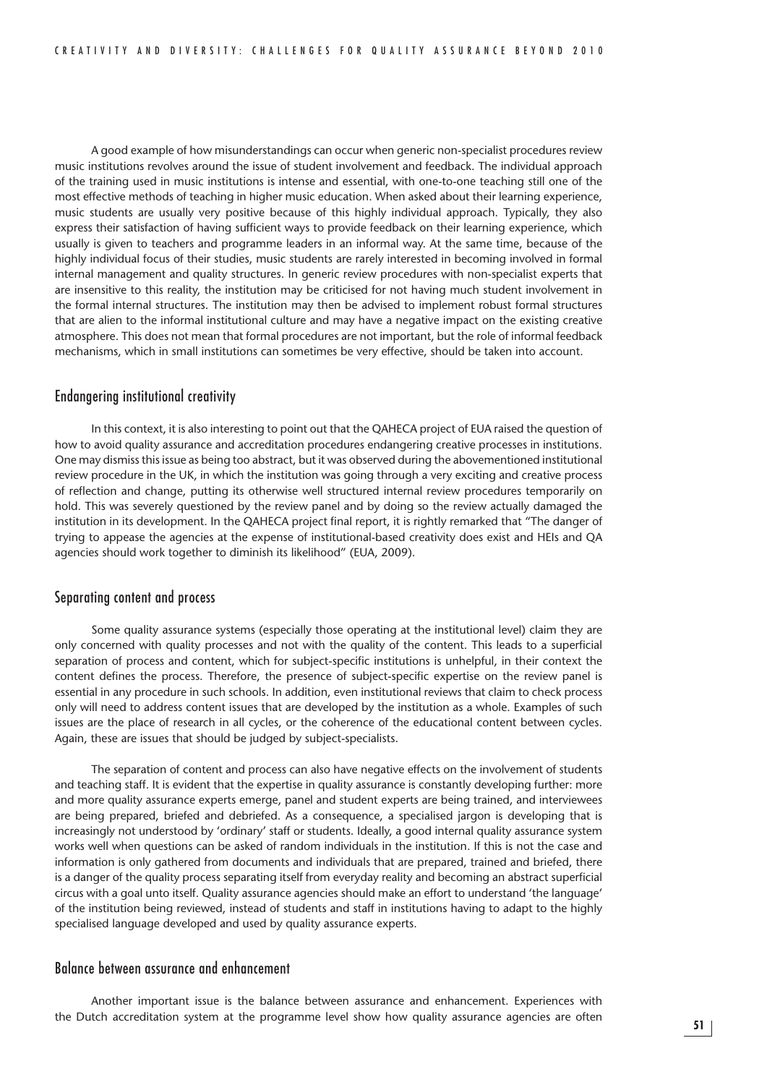A good example of how misunderstandings can occur when generic non-specialist procedures review music institutions revolves around the issue of student involvement and feedback. The individual approach of the training used in music institutions is intense and essential, with one-to-one teaching still one of the most effective methods of teaching in higher music education. When asked about their learning experience, music students are usually very positive because of this highly individual approach. Typically, they also express their satisfaction of having sufficient ways to provide feedback on their learning experience, which usually is given to teachers and programme leaders in an informal way. At the same time, because of the highly individual focus of their studies, music students are rarely interested in becoming involved in formal internal management and quality structures. In generic review procedures with non-specialist experts that are insensitive to this reality, the institution may be criticised for not having much student involvement in the formal internal structures. The institution may then be advised to implement robust formal structures that are alien to the informal institutional culture and may have a negative impact on the existing creative atmosphere. This does not mean that formal procedures are not important, but the role of informal feedback mechanisms, which in small institutions can sometimes be very effective, should be taken into account.

#### Endangering institutional creativity

In this context, it is also interesting to point out that the QAHECA project of EUA raised the question of how to avoid quality assurance and accreditation procedures endangering creative processes in institutions. One may dismiss this issue as being too abstract, but it was observed during the abovementioned institutional review procedure in the UK, in which the institution was going through a very exciting and creative process of reflection and change, putting its otherwise well structured internal review procedures temporarily on hold. This was severely questioned by the review panel and by doing so the review actually damaged the institution in its development. In the QAHECA project final report, it is rightly remarked that "The danger of trying to appease the agencies at the expense of institutional-based creativity does exist and HEIs and QA agencies should work together to diminish its likelihood" (EUA, 2009).

#### Separating content and process

Some quality assurance systems (especially those operating at the institutional level) claim they are only concerned with quality processes and not with the quality of the content. This leads to a superficial separation of process and content, which for subject-specific institutions is unhelpful, in their context the content defines the process. Therefore, the presence of subject-specific expertise on the review panel is essential in any procedure in such schools. In addition, even institutional reviews that claim to check process only will need to address content issues that are developed by the institution as a whole. Examples of such issues are the place of research in all cycles, or the coherence of the educational content between cycles. Again, these are issues that should be judged by subject-specialists.

The separation of content and process can also have negative effects on the involvement of students and teaching staff. It is evident that the expertise in quality assurance is constantly developing further: more and more quality assurance experts emerge, panel and student experts are being trained, and interviewees are being prepared, briefed and debriefed. As a consequence, a specialised jargon is developing that is increasingly not understood by 'ordinary' staff or students. Ideally, a good internal quality assurance system works well when questions can be asked of random individuals in the institution. If this is not the case and information is only gathered from documents and individuals that are prepared, trained and briefed, there is a danger of the quality process separating itself from everyday reality and becoming an abstract superficial circus with a goal unto itself. Quality assurance agencies should make an effort to understand 'the language' of the institution being reviewed, instead of students and staff in institutions having to adapt to the highly specialised language developed and used by quality assurance experts.

#### Balance between assurance and enhancement

Another important issue is the balance between assurance and enhancement. Experiences with the Dutch accreditation system at the programme level show how quality assurance agencies are often